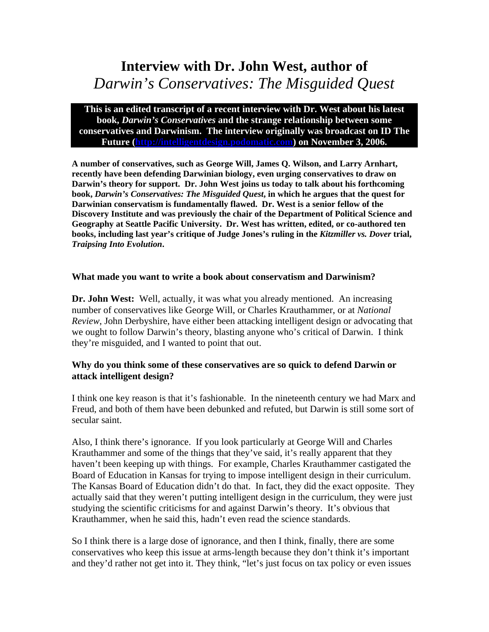# **Interview with Dr. John West, author of**  *Darwin's Conservatives: The Misguided Quest*

**This is an edited transcript of a recent interview with Dr. West about his latest book,** *Darwin's Conservatives* **and the strange relationship between some conservatives and Darwinism. The interview originally was broadcast on ID The Future [\(http://intelligentdesign.podomatic.com\)](http://intelligentdesign.podomatic.com/) on November 3, 2006.** 

**A number of conservatives, such as George Will, James Q. Wilson, and Larry Arnhart, recently have been defending Darwinian biology, even urging conservatives to draw on Darwin's theory for support. Dr. John West joins us today to talk about his forthcoming book,** *Darwin's Conservatives: The Misguided Quest***, in which he argues that the quest for Darwinian conservatism is fundamentally flawed. Dr. West is a senior fellow of the Discovery Institute and was previously the chair of the Department of Political Science and Geography at Seattle Pacific University. Dr. West has written, edited, or co-authored ten books, including last year's critique of Judge Jones's ruling in the** *Kitzmiller vs. Dover* **trial,**  *Traipsing Into Evolution***.** 

#### **What made you want to write a book about conservatism and Darwinism?**

**Dr. John West:** Well, actually, it was what you already mentioned. An increasing number of conservatives like George Will, or Charles Krauthammer, or at *National Review*, John Derbyshire, have either been attacking intelligent design or advocating that we ought to follow Darwin's theory, blasting anyone who's critical of Darwin. I think they're misguided, and I wanted to point that out.

#### **Why do you think some of these conservatives are so quick to defend Darwin or attack intelligent design?**

I think one key reason is that it's fashionable. In the nineteenth century we had Marx and Freud, and both of them have been debunked and refuted, but Darwin is still some sort of secular saint.

Also, I think there's ignorance. If you look particularly at George Will and Charles Krauthammer and some of the things that they've said, it's really apparent that they haven't been keeping up with things. For example, Charles Krauthammer castigated the Board of Education in Kansas for trying to impose intelligent design in their curriculum. The Kansas Board of Education didn't do that. In fact, they did the exact opposite. They actually said that they weren't putting intelligent design in the curriculum, they were just studying the scientific criticisms for and against Darwin's theory. It's obvious that Krauthammer, when he said this, hadn't even read the science standards.

So I think there is a large dose of ignorance, and then I think, finally, there are some conservatives who keep this issue at arms-length because they don't think it's important and they'd rather not get into it. They think, "let's just focus on tax policy or even issues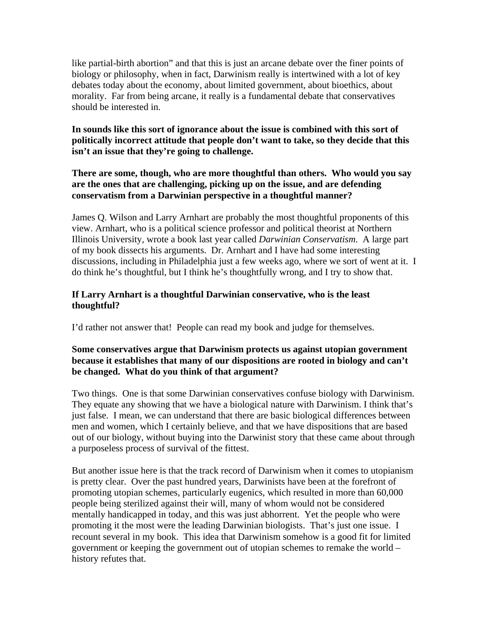like partial-birth abortion" and that this is just an arcane debate over the finer points of biology or philosophy, when in fact, Darwinism really is intertwined with a lot of key debates today about the economy, about limited government, about bioethics, about morality. Far from being arcane, it really is a fundamental debate that conservatives should be interested in.

## **In sounds like this sort of ignorance about the issue is combined with this sort of politically incorrect attitude that people don't want to take, so they decide that this isn't an issue that they're going to challenge.**

## **There are some, though, who are more thoughtful than others. Who would you say are the ones that are challenging, picking up on the issue, and are defending conservatism from a Darwinian perspective in a thoughtful manner?**

James Q. Wilson and Larry Arnhart are probably the most thoughtful proponents of this view. Arnhart, who is a political science professor and political theorist at Northern Illinois University, wrote a book last year called *Darwinian Conservatism*. A large part of my book dissects his arguments. Dr. Arnhart and I have had some interesting discussions, including in Philadelphia just a few weeks ago, where we sort of went at it. I do think he's thoughtful, but I think he's thoughtfully wrong, and I try to show that.

## **If Larry Arnhart is a thoughtful Darwinian conservative, who is the least thoughtful?**

I'd rather not answer that! People can read my book and judge for themselves.

## **Some conservatives argue that Darwinism protects us against utopian government because it establishes that many of our dispositions are rooted in biology and can't be changed. What do you think of that argument?**

Two things. One is that some Darwinian conservatives confuse biology with Darwinism. They equate any showing that we have a biological nature with Darwinism. I think that's just false. I mean, we can understand that there are basic biological differences between men and women, which I certainly believe, and that we have dispositions that are based out of our biology, without buying into the Darwinist story that these came about through a purposeless process of survival of the fittest.

But another issue here is that the track record of Darwinism when it comes to utopianism is pretty clear. Over the past hundred years, Darwinists have been at the forefront of promoting utopian schemes, particularly eugenics, which resulted in more than 60,000 people being sterilized against their will, many of whom would not be considered mentally handicapped in today, and this was just abhorrent. Yet the people who were promoting it the most were the leading Darwinian biologists. That's just one issue. I recount several in my book. This idea that Darwinism somehow is a good fit for limited government or keeping the government out of utopian schemes to remake the world – history refutes that.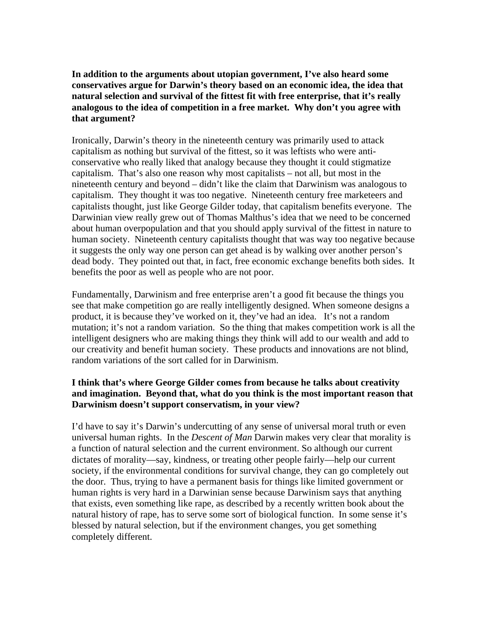**In addition to the arguments about utopian government, I've also heard some conservatives argue for Darwin's theory based on an economic idea, the idea that natural selection and survival of the fittest fit with free enterprise, that it's really analogous to the idea of competition in a free market. Why don't you agree with that argument?** 

Ironically, Darwin's theory in the nineteenth century was primarily used to attack capitalism as nothing but survival of the fittest, so it was leftists who were anticonservative who really liked that analogy because they thought it could stigmatize capitalism. That's also one reason why most capitalists – not all, but most in the nineteenth century and beyond – didn't like the claim that Darwinism was analogous to capitalism. They thought it was too negative. Nineteenth century free marketeers and capitalists thought, just like George Gilder today, that capitalism benefits everyone. The Darwinian view really grew out of Thomas Malthus's idea that we need to be concerned about human overpopulation and that you should apply survival of the fittest in nature to human society. Nineteenth century capitalists thought that was way too negative because it suggests the only way one person can get ahead is by walking over another person's dead body. They pointed out that, in fact, free economic exchange benefits both sides. It benefits the poor as well as people who are not poor.

Fundamentally, Darwinism and free enterprise aren't a good fit because the things you see that make competition go are really intelligently designed. When someone designs a product, it is because they've worked on it, they've had an idea. It's not a random mutation; it's not a random variation. So the thing that makes competition work is all the intelligent designers who are making things they think will add to our wealth and add to our creativity and benefit human society. These products and innovations are not blind, random variations of the sort called for in Darwinism.

#### **I think that's where George Gilder comes from because he talks about creativity and imagination. Beyond that, what do you think is the most important reason that Darwinism doesn't support conservatism, in your view?**

I'd have to say it's Darwin's undercutting of any sense of universal moral truth or even universal human rights. In the *Descent of Man* Darwin makes very clear that morality is a function of natural selection and the current environment. So although our current dictates of morality—say, kindness, or treating other people fairly—help our current society, if the environmental conditions for survival change, they can go completely out the door. Thus, trying to have a permanent basis for things like limited government or human rights is very hard in a Darwinian sense because Darwinism says that anything that exists, even something like rape, as described by a recently written book about the natural history of rape, has to serve some sort of biological function. In some sense it's blessed by natural selection, but if the environment changes, you get something completely different.